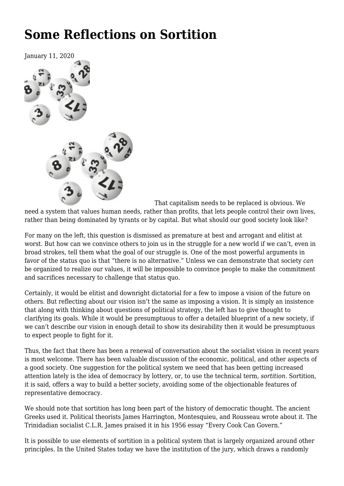# **[Some Reflections on Sortition](https://newpol.org/issue_post/some-reflections-on-sortition/)**



That capitalism needs to be replaced is obvious. We

need a system that values human needs, rather than profits, that lets people control their own lives, rather than being dominated by tyrants or by capital. But what should our good society look like?

For many on the left, this question is dismissed as premature at best and arrogant and elitist at worst. But how can we convince others to join us in the struggle for a new world if we can't, even in broad strokes, tell them what the goal of our struggle is. One of the most powerful arguments in favor of the status quo is that "there is no alternative." Unless we can demonstrate that society *can* be organized to realize our values, it will be impossible to convince people to make the commitment and sacrifices necessary to challenge that status quo.

Certainly, it would be elitist and downright dictatorial for a few to impose a vision of the future on others. But reflecting about our vision isn't the same as imposing a vision. It is simply an insistence that along with thinking about questions of political strategy, the left has to give thought to clarifying its goals. While it would be presumptuous to offer a detailed blueprint of a new society, if we can't describe our vision in enough detail to show its desirability then it would be presumptuous to expect people to fight for it.

Thus, the fact that there has been a renewal of conversation about the socialist vision in recent years is most welcome. There has been valuable discussion of the economic, political, and other aspects of a good society. One suggestion for the political system we need that has been getting increased attention lately is the idea of democracy by lottery, or, to use the technical term, *sortition*. Sortition, it is said, offers a way to build a better society, avoiding some of the objectionable features of representative democracy.

We should note that sortition has long been part of the history of democratic thought. The ancient Greeks used it. Political theorists James Harrington, Montesquieu, and Rousseau wrote about it. The Trinidadian socialist C.L.R. James praised it in his 1956 essay "Every Cook Can Govern."

It is possible to use elements of sortition in a political system that is largely organized around other principles. In the United States today we have the institution of the jury, which draws a randomly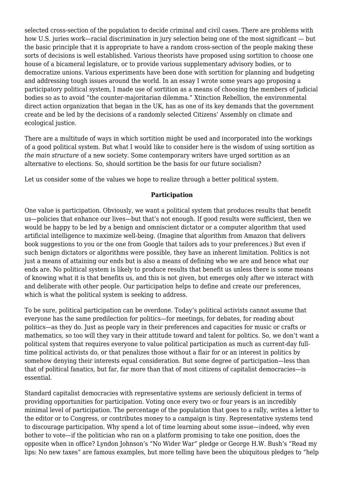selected cross-section of the population to decide criminal and civil cases. There are problems with how U.S. juries work—racial discrimination in jury selection being one of the most significant — but the basic principle that it is appropriate to have a random cross-section of the people making these sorts of decisions is well established. Various theorists have proposed using sortition to choose one house of a bicameral legislature, or to provide various supplementary advisory bodies, or to democratize unions. Various experiments have been done with sortition for planning and budgeting and addressing tough issues around the world. In an essay I wrote some years ago proposing a participatory political system, I made use of sortition as a means of choosing the members of judicial bodies so as to avoid "the counter-majoritarian dilemma." Xtinction Rebellion, the environmental direct action organization that began in the UK, has as one of its key demands that the government create and be led by the decisions of a randomly selected Citizens' Assembly on climate and ecological justice.

There are a multitude of ways in which sortition might be used and incorporated into the workings of a good political system. But what I would like to consider here is the wisdom of using sortition as *the main structure* of a new society. Some contemporary writers have urged sortition as an alternative to elections. So, should sortition be the basis for our future socialism?

Let us consider some of the values we hope to realize through a better political system.

### **Participation**

One value is participation. Obviously, we want a political system that produces results that benefit us—policies that enhance our lives—but that's not enough. If good results were sufficient, then we would be happy to be led by a benign and omniscient dictator or a computer algorithm that used artificial intelligence to maximize well-being. (Imagine that algorithm from Amazon that delivers book suggestions to you or the one from Google that tailors ads to your preferences.) But even if such benign dictators or algorithms were possible, they have an inherent limitation. Politics is not just a means of attaining our ends but is also a means of defining who we are and hence what our ends are. No political system is likely to produce results that benefit us unless there is some means of knowing what it is that benefits us, and this is not given, but emerges only after we interact with and deliberate with other people. Our participation helps to define and create our preferences, which is what the political system is seeking to address.

To be sure, political participation can be overdone. Today's political activists cannot assume that everyone has the same predilection for politics—for meetings, for debates, for reading about politics—as they do. Just as people vary in their preferences and capacities for music or crafts or mathematics, so too will they vary in their attitude toward and talent for politics. So, we don't want a political system that requires everyone to value political participation as much as current-day fulltime political activists do, or that penalizes those without a flair for or an interest in politics by somehow denying their interests equal consideration. But some degree of participation—less than that of political fanatics, but far, far more than that of most citizens of capitalist democracies—is essential.

Standard capitalist democracies with representative systems are seriously deficient in terms of providing opportunities for participation. Voting once every two or four years is an incredibly minimal level of participation. The percentage of the population that goes to a rally, writes a letter to the editor or to Congress, or contributes money to a campaign is tiny. Representative systems tend to discourage participation. Why spend a lot of time learning about some issue—indeed, why even bother to vote—if the politician who ran on a platform promising to take one position, does the opposite when in office? Lyndon Johnson's "No Wider War" pledge or George H.W. Bush's "Read my lips: No new taxes" are famous examples, but more telling have been the ubiquitous pledges to "help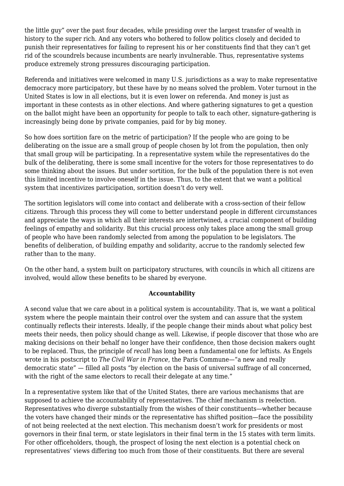the little guy" over the past four decades, while presiding over the largest transfer of wealth in history to the super rich. And any voters who bothered to follow politics closely and decided to punish their representatives for failing to represent his or her constituents find that they can't get rid of the scoundrels because incumbents are nearly invulnerable. Thus, representative systems produce extremely strong pressures discouraging participation.

Referenda and initiatives were welcomed in many U.S. jurisdictions as a way to make representative democracy more participatory, but these have by no means solved the problem. Voter turnout in the United States is low in all elections, but it is even lower on referenda. And money is just as important in these contests as in other elections. And where gathering signatures to get a question on the ballot might have been an opportunity for people to talk to each other, signature-gathering is increasingly being done by private companies, paid for by big money.

So how does sortition fare on the metric of participation? If the people who are going to be deliberating on the issue are a small group of people chosen by lot from the population, then only that small group will be participating. In a representative system while the representatives do the bulk of the deliberating, there is some small incentive for the voters for those representatives to do some thinking about the issues. But under sortition, for the bulk of the population there is not even this limited incentive to involve oneself in the issue. Thus, to the extent that we want a political system that incentivizes participation, sortition doesn't do very well.

The sortition legislators will come into contact and deliberate with a cross-section of their fellow citizens. Through this process they will come to better understand people in different circumstances and appreciate the ways in which all their interests are intertwined, a crucial component of building feelings of empathy and solidarity. But this crucial process only takes place among the small group of people who have been randomly selected from among the population to be legislators. The benefits of deliberation, of building empathy and solidarity, accrue to the randomly selected few rather than to the many.

On the other hand, a system built on participatory structures, with councils in which all citizens are involved, would allow these benefits to be shared by everyone.

#### **Accountability**

A second value that we care about in a political system is accountability. That is, we want a political system where the people maintain their control over the system and can assure that the system continually reflects their interests. Ideally, if the people change their minds about what policy best meets their needs, then policy should change as well. Likewise, if people discover that those who are making decisions on their behalf no longer have their confidence, then those decision makers ought to be replaced. Thus, the principle of *recall* has long been a fundamental one for leftists. As Engels wrote in his postscript to *The Civil War in France*, the Paris Commune—"a new and really democratic state" — filled all posts "by election on the basis of universal suffrage of all concerned, with the right of the same electors to recall their delegate at any time."

In a representative system like that of the United States, there are various mechanisms that are supposed to achieve the accountability of representatives. The chief mechanism is reelection. Representatives who diverge substantially from the wishes of their constituents—whether because the voters have changed their minds or the representative has shifted position—face the possibility of not being reelected at the next election. This mechanism doesn't work for presidents or most governors in their final term, or state legislators in their final term in the 15 states with term limits. For other officeholders, though, the prospect of losing the next election is a potential check on representatives' views differing too much from those of their constituents. But there are several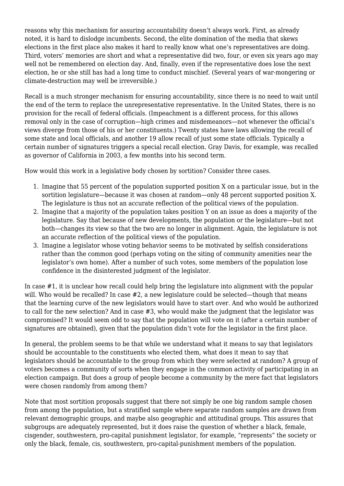reasons why this mechanism for assuring accountability doesn't always work. First, as already noted, it is hard to dislodge incumbents. Second, the elite domination of the media that skews elections in the first place also makes it hard to really know what one's representatives are doing. Third, voters' memories are short and what a representative did two, four, or even six years ago may well not be remembered on election day. And, finally, even if the representative does lose the next election, he or she still has had a long time to conduct mischief. (Several years of war-mongering or climate-destruction may well be irreversible.)

Recall is a much stronger mechanism for ensuring accountability, since there is no need to wait until the end of the term to replace the unrepresentative representative. In the United States, there is no provision for the recall of federal officials. (Impeachment is a different process, for this allows removal only in the case of corruption—high crimes and misdemeanors—not whenever the official's views diverge from those of his or her constituents.) Twenty states have laws allowing the recall of some state and local officials, and another 19 allow recall of just some state officials. Typically a certain number of signatures triggers a special recall election. Gray Davis, for example, was recalled as governor of California in 2003, a few months into his second term.

How would this work in a legislative body chosen by sortition? Consider three cases.

- 1. Imagine that 55 percent of the population supported position X on a particular issue, but in the sortition legislature—because it was chosen at random—only 48 percent supported position X. The legislature is thus not an accurate reflection of the political views of the population.
- 2. Imagine that a majority of the population takes position Y on an issue as does a majority of the legislature. Say that because of new developments, the population or the legislature—but not both—changes its view so that the two are no longer in alignment. Again, the legislature is not an accurate reflection of the political views of the population.
- 3. Imagine a legislator whose voting behavior seems to be motivated by selfish considerations rather than the common good (perhaps voting on the siting of community amenities near the legislator's own home). After a number of such votes, some members of the population lose confidence in the disinterested judgment of the legislator.

In case #1, it is unclear how recall could help bring the legislature into alignment with the popular will. Who would be recalled? In case #2, a new legislature could be selected—though that means that the learning curve of the new legislators would have to start over. And who would be authorized to call for the new selection? And in case #3, who would make the judgment that the legislator was compromised? It would seem odd to say that the population will vote on it (after a certain number of signatures are obtained), given that the population didn't vote for the legislator in the first place.

In general, the problem seems to be that while we understand what it means to say that legislators should be accountable to the constituents who elected them, what does it mean to say that legislators should be accountable to the group from which they were selected at random? A group of voters becomes a community of sorts when they engage in the common activity of participating in an election campaign. But does a group of people become a community by the mere fact that legislators were chosen randomly from among them?

Note that most sortition proposals suggest that there not simply be one big random sample chosen from among the population, but a stratified sample where separate random samples are drawn from relevant demographic groups, and maybe also geographic and attitudinal groups. This assures that subgroups are adequately represented, but it does raise the question of whether a black, female, cisgender, southwestern, pro-capital punishment legislator, for example, "represents" the society or only the black, female, cis, southwestern, pro-capital-punishment members of the population.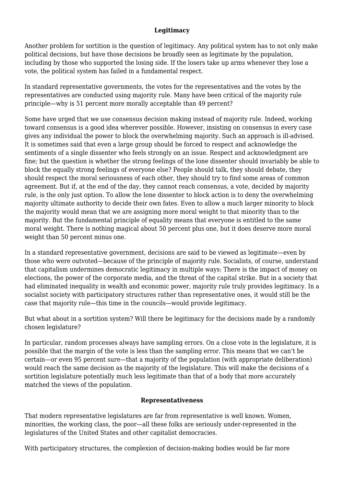#### **Legitimacy**

Another problem for sortition is the question of legitimacy. Any political system has to not only make political decisions, but have those decisions be broadly seen as legitimate by the population, including by those who supported the losing side. If the losers take up arms whenever they lose a vote, the political system has failed in a fundamental respect.

In standard representative governments, the votes for the representatives and the votes by the representatives are conducted using majority rule. Many have been critical of the majority rule principle—why is 51 percent more morally acceptable than 49 percent?

Some have urged that we use consensus decision making instead of majority rule. Indeed, working toward consensus is a good idea wherever possible. However, insisting on consensus in every case gives any individual the power to block the overwhelming majority. Such an approach is ill-advised. It is sometimes said that even a large group should be forced to respect and acknowledge the sentiments of a single dissenter who feels strongly on an issue. Respect and acknowledgment are fine; but the question is whether the strong feelings of the lone dissenter should invariably be able to block the equally strong feelings of everyone else? People should talk, they should debate, they should respect the moral seriousness of each other, they should try to find some areas of common agreement. But if, at the end of the day, they cannot reach consensus, a vote, decided by majority rule, is the only just option. To allow the lone dissenter to block action is to deny the overwhelming majority ultimate authority to decide their own fates. Even to allow a much larger minority to block the majority would mean that we are assigning more moral weight to that minority than to the majority. But the fundamental principle of equality means that everyone is entitled to the same moral weight. There is nothing magical about 50 percent plus one, but it does deserve more moral weight than 50 percent minus one.

In a standard representative government, decisions are said to be viewed as legitimate—even by those who were outvoted—because of the principle of majority rule. Socialists, of course, understand that capitalism undermines democratic legitimacy in multiple ways: There is the impact of money on elections, the power of the corporate media, and the threat of the capital strike. But in a society that had eliminated inequality in wealth and economic power, majority rule truly provides legitimacy. In a socialist society with participatory structures rather than representative ones, it would still be the case that majority rule—this time in the councils—would provide legitimacy.

But what about in a sortition system? Will there be legitimacy for the decisions made by a randomly chosen legislature?

In particular, random processes always have sampling errors. On a close vote in the legislature, it is possible that the margin of the vote is less than the sampling error. This means that we can't be certain—or even 95 percent sure—that a majority of the population (with appropriate deliberation) would reach the same decision as the majority of the legislature. This will make the decisions of a sortition legislature potentially much less legitimate than that of a body that more accurately matched the views of the population.

# **Representativeness**

That modern representative legislatures are far from representative is well known. Women, minorities, the working class, the poor—all these folks are seriously under-represented in the legislatures of the United States and other capitalist democracies.

With participatory structures, the complexion of decision-making bodies would be far more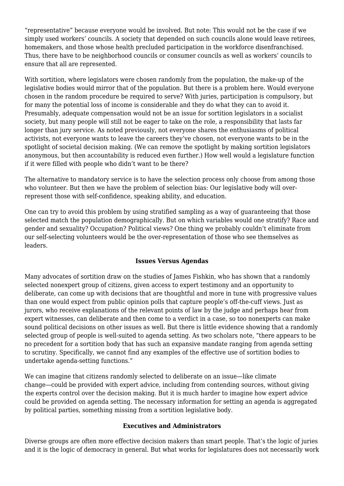"representative" because everyone would be involved. But note: This would not be the case if we simply used workers' councils. A society that depended on such councils alone would leave retirees, homemakers, and those whose health precluded participation in the workforce disenfranchised. Thus, there have to be neighborhood councils or consumer councils as well as workers' councils to ensure that all are represented.

With sortition, where legislators were chosen randomly from the population, the make-up of the legislative bodies would mirror that of the population. But there is a problem here. Would everyone chosen in the random procedure be required to serve? With juries, participation is compulsory, but for many the potential loss of income is considerable and they do what they can to avoid it. Presumably, adequate compensation would not be an issue for sortition legislators in a socialist society, but many people will still not be eager to take on the role, a responsibility that lasts far longer than jury service. As noted previously, not everyone shares the enthusiasms of political activists, not everyone wants to leave the careers they've chosen, not everyone wants to be in the spotlight of societal decision making. (We can remove the spotlight by making sortition legislators anonymous, but then accountability is reduced even further.) How well would a legislature function if it were filled with people who didn't want to be there?

The alternative to mandatory service is to have the selection process only choose from among those who volunteer. But then we have the problem of selection bias: Our legislative body will overrepresent those with self-confidence, speaking ability, and education.

One can try to avoid this problem by using stratified sampling as a way of guaranteeing that those selected match the population demographically. But on which variables would one stratify? Race and gender and sexuality? Occupation? Political views? One thing we probably couldn't eliminate from our self-selecting volunteers would be the over-representation of those who see themselves as leaders.

# **Issues Versus Agendas**

Many advocates of sortition draw on the studies of James Fishkin, who has shown that a randomly selected nonexpert group of citizens, given access to expert testimony and an opportunity to deliberate, can come up with decisions that are thoughtful and more in tune with progressive values than one would expect from public opinion polls that capture people's off-the-cuff views. Just as jurors, who receive explanations of the relevant points of law by the judge and perhaps hear from expert witnesses, can deliberate and then come to a verdict in a case, so too nonexperts can make sound political decisions on other issues as well. But there is little evidence showing that a randomly selected group of people is well-suited to agenda setting. As two scholars note, "there appears to be no precedent for a sortition body that has such an expansive mandate ranging from agenda setting to scrutiny. Specifically, we cannot find any examples of the effective use of sortition bodies to undertake agenda-setting functions."

We can imagine that citizens randomly selected to deliberate on an issue—like climate change—could be provided with expert advice, including from contending sources, without giving the experts control over the decision making. But it is much harder to imagine how expert advice could be provided on agenda setting. The necessary information for setting an agenda is aggregated by political parties, something missing from a sortition legislative body.

#### **Executives and Administrators**

Diverse groups are often more effective decision makers than smart people. That's the logic of juries and it is the logic of democracy in general. But what works for legislatures does not necessarily work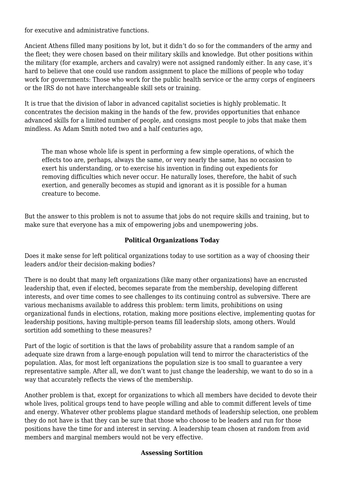for executive and administrative functions.

Ancient Athens filled many positions by lot, but it didn't do so for the commanders of the army and the fleet; they were chosen based on their military skills and knowledge. But other positions within the military (for example, archers and cavalry) were not assigned randomly either. In any case, it's hard to believe that one could use random assignment to place the millions of people who today work for governments: Those who work for the public health service or the army corps of engineers or the IRS do not have interchangeable skill sets or training.

It is true that the division of labor in advanced capitalist societies is highly problematic. It concentrates the decision making in the hands of the few, provides opportunities that enhance advanced skills for a limited number of people, and consigns most people to jobs that make them mindless. As Adam Smith noted two and a half centuries ago,

The man whose whole life is spent in performing a few simple operations, of which the effects too are, perhaps, always the same, or very nearly the same, has no occasion to exert his understanding, or to exercise his invention in finding out expedients for removing difficulties which never occur. He naturally loses, therefore, the habit of such exertion, and generally becomes as stupid and ignorant as it is possible for a human creature to become.

But the answer to this problem is not to assume that jobs do not require skills and training, but to make sure that everyone has a mix of empowering jobs and unempowering jobs.

## **Political Organizations Today**

Does it make sense for left political organizations today to use sortition as a way of choosing their leaders and/or their decision-making bodies?

There is no doubt that many left organizations (like many other organizations) have an encrusted leadership that, even if elected, becomes separate from the membership, developing different interests, and over time comes to see challenges to its continuing control as subversive. There are various mechanisms available to address this problem: term limits, prohibitions on using organizational funds in elections, rotation, making more positions elective, implementing quotas for leadership positions, having multiple-person teams fill leadership slots, among others. Would sortition add something to these measures?

Part of the logic of sortition is that the laws of probability assure that a random sample of an adequate size drawn from a large-enough population will tend to mirror the characteristics of the population. Alas, for most left organizations the population size is too small to guarantee a very representative sample. After all, we don't want to just change the leadership, we want to do so in a way that accurately reflects the views of the membership.

Another problem is that, except for organizations to which all members have decided to devote their whole lives, political groups tend to have people willing and able to commit different levels of time and energy. Whatever other problems plague standard methods of leadership selection, one problem they do not have is that they can be sure that those who choose to be leaders and run for those positions have the time for and interest in serving. A leadership team chosen at random from avid members and marginal members would not be very effective.

# **Assessing Sortition**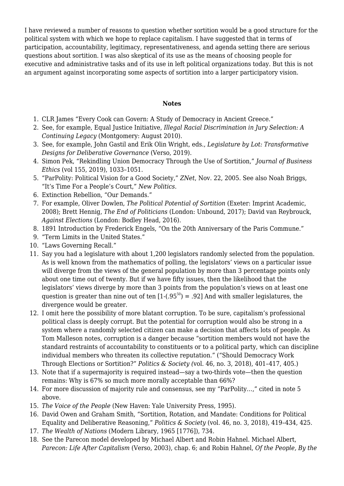I have reviewed a number of reasons to question whether sortition would be a good structure for the political system with which we hope to replace capitalism. I have suggested that in terms of participation, accountability, legitimacy, representativeness, and agenda setting there are serious questions about sortition. I was also skeptical of its use as the means of choosing people for executive and administrative tasks and of its use in left political organizations today. But this is not an argument against incorporating some aspects of sortition into a larger participatory vision.

#### **Notes**

- 1. CLR James "[Every Cook can Govern: A Study of Democracy in Ancient Greece](http://www.marxists.org/archive/james-clr/%20works/1956/06/every-cook.htm)."
- 2. See, for example, Equal Justice Initiative, *[Illegal Racial Discrimination in Jury Selection:](http://eji.org/sites/default/files/illegal-racial-discrimination-in-jury-selection.pdf) A Continuing Legacy* (Montgomery: August 2010).
- 3. See, for example, [John Gastil](https://www.versobooks.com/authors/2356-john-gastil) and [Erik Olin Wright](https://www.versobooks.com/authors/32-erik-olin-wright), eds., *Legislature by Lot: Transformative Designs for Deliberative Governance* (Verso, 2019).
- 4. Simon Pek, "Rekindling Union Democracy Through the Use of Sortition," *Journal of Business Ethics* (vol 155, 2019), 1033–1051.
- 5. "[ParPolity: Political Vision for a Good Society](http://zcomm.org/znetarticle/parpolity-political-vision-for-a-good-society-by-stephen1-shalom/)," *ZNet*, Nov. 22, 2005. See also Noah Briggs, "[It's Time For a People's Court,](https://newpol.org/newpol.org/its-time-for-a-peoples-court/)" *New Politics*.
- 6. Extinction Rebellion, "[Our Demands.](http://rebellion.earth/the-truth/demands)"
- 7. For example, Oliver Dowlen, *The Political Potential of Sortition* (Exeter: Imprint Academic, 2008); Brett Hennig, *The End of Politicians* (London: Unbound, 2017); David van Reybrouck, *Against Elections* (London: Bodley Head, 2016).
- 8. 1891 Introduction by Frederick Engels, ["On the 20th Anniversary of the Paris Commune.](https://www.marxists.org/archive/marx/works/1871/civil-war-france/postscript.htm)"
- 9. "[Term Limits in the United States.](https://en.wikipedia.org/wiki/Term_limits_in_the_United_States)"
- 10. "[Laws Governing Recall](http://ballotpedia.org/Laws_governing_recall.)."
- 11. Say you had a legislature with about 1,200 legislators randomly selected from the population. As is well known from the mathematics of polling, the legislators' views on a particular issue will diverge from the views of the general population by more than 3 percentage points only about one time out of twenty. But if we have fifty issues, then the likelihood that the legislators' views diverge by more than 3 points from the population's views on at least one question is greater than nine out of ten  $[1-(.95^{50}) = .92]$  And with smaller legislatures, the divergence would be greater.
- 12. I omit here the possibility of more blatant corruption. To be sure, capitalism's professional political class is deeply corrupt. But the potential for corruption would also be strong in a system where a randomly selected citizen can make a decision that affects lots of people. As Tom Malleson notes, corruption is a danger because "sortition members would not have the standard restraints of accountability to constituents or to a political party, which can discipline individual members who threaten its collective reputation." ("Should Democracy Work Through Elections or Sortition?" *Politics & Society (*vol. 46, no. 3, 2018), 401–417, 405.)
- 13. Note that if a supermajority is required instead—say a two-thirds vote—then the question remains: Why is 67% so much more morally acceptable than 66%?
- 14. For more discussion of majority rule and consensus, see my ["ParPolity…](http://zcomm.org/znetarticle/parpolity-political-vision-for-a-good-society-by-stephen1-shalom/)," cited in note 5 above.
- 15. *The Voice of the People* (New Haven: Yale University Press, 1995).
- 16. David Owen and Graham Smith, "Sortition, Rotation, and Mandate: Conditions for Political Equality and Deliberative Reasoning," *Politics & Society* (vol. 46, no. 3, 2018), 419–434, 425.
- 17. *The Wealth of Nations* (Modern Library, 1965 [1776]), 734.
- 18. See the Parecon model developed by Michael Albert and Robin Hahnel. Michael Albert, *Parecon: Life After Capitalism* (Verso, 2003), chap. 6; and Robin Hahnel, *Of the People, By the*